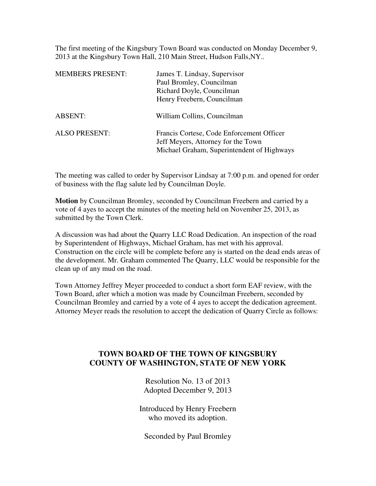The first meeting of the Kingsbury Town Board was conducted on Monday December 9, 2013 at the Kingsbury Town Hall, 210 Main Street, Hudson Falls,NY..

| <b>MEMBERS PRESENT:</b> | James T. Lindsay, Supervisor<br>Paul Bromley, Councilman<br>Richard Doyle, Councilman<br>Henry Freebern, Councilman           |
|-------------------------|-------------------------------------------------------------------------------------------------------------------------------|
| ABSENT:                 | William Collins, Councilman                                                                                                   |
| <b>ALSO PRESENT:</b>    | Francis Cortese, Code Enforcement Officer<br>Jeff Meyers, Attorney for the Town<br>Michael Graham, Superintendent of Highways |

The meeting was called to order by Supervisor Lindsay at 7:00 p.m. and opened for order of business with the flag salute led by Councilman Doyle.

**Motion** by Councilman Bromley, seconded by Councilman Freebern and carried by a vote of 4 ayes to accept the minutes of the meeting held on November 25, 2013, as submitted by the Town Clerk.

A discussion was had about the Quarry LLC Road Dedication. An inspection of the road by Superintendent of Highways, Michael Graham, has met with his approval. Construction on the circle will be complete before any is started on the dead ends areas of the development. Mr. Graham commented The Quarry, LLC would be responsible for the clean up of any mud on the road.

Town Attorney Jeffrey Meyer proceeded to conduct a short form EAF review, with the Town Board, after which a motion was made by Councilman Freebern, seconded by Councilman Bromley and carried by a vote of 4 ayes to accept the dedication agreement. Attorney Meyer reads the resolution to accept the dedication of Quarry Circle as follows:

## **TOWN BOARD OF THE TOWN OF KINGSBURY COUNTY OF WASHINGTON, STATE OF NEW YORK**

Resolution No. 13 of 2013 Adopted December 9, 2013

Introduced by Henry Freebern who moved its adoption.

Seconded by Paul Bromley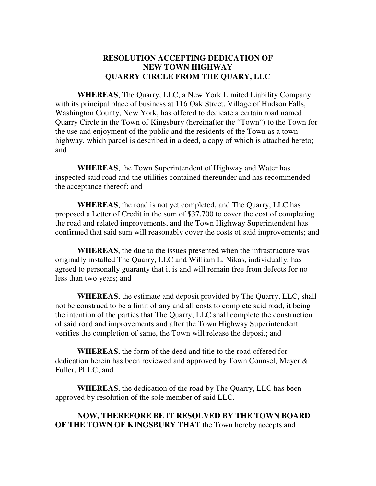## **RESOLUTION ACCEPTING DEDICATION OF NEW TOWN HIGHWAY QUARRY CIRCLE FROM THE QUARY, LLC**

**WHEREAS**, The Quarry, LLC, a New York Limited Liability Company with its principal place of business at 116 Oak Street, Village of Hudson Falls, Washington County, New York, has offered to dedicate a certain road named Quarry Circle in the Town of Kingsbury (hereinafter the "Town") to the Town for the use and enjoyment of the public and the residents of the Town as a town highway, which parcel is described in a deed, a copy of which is attached hereto; and

**WHEREAS**, the Town Superintendent of Highway and Water has inspected said road and the utilities contained thereunder and has recommended the acceptance thereof; and

**WHEREAS**, the road is not yet completed, and The Quarry, LLC has proposed a Letter of Credit in the sum of \$37,700 to cover the cost of completing the road and related improvements, and the Town Highway Superintendent has confirmed that said sum will reasonably cover the costs of said improvements; and

**WHEREAS**, the due to the issues presented when the infrastructure was originally installed The Quarry, LLC and William L. Nikas, individually, has agreed to personally guaranty that it is and will remain free from defects for no less than two years; and

**WHEREAS**, the estimate and deposit provided by The Quarry, LLC, shall not be construed to be a limit of any and all costs to complete said road, it being the intention of the parties that The Quarry, LLC shall complete the construction of said road and improvements and after the Town Highway Superintendent verifies the completion of same, the Town will release the deposit; and

**WHEREAS**, the form of the deed and title to the road offered for dedication herein has been reviewed and approved by Town Counsel, Meyer & Fuller, PLLC; and

**WHEREAS**, the dedication of the road by The Quarry, LLC has been approved by resolution of the sole member of said LLC.

## **NOW, THEREFORE BE IT RESOLVED BY THE TOWN BOARD OF THE TOWN OF KINGSBURY THAT** the Town hereby accepts and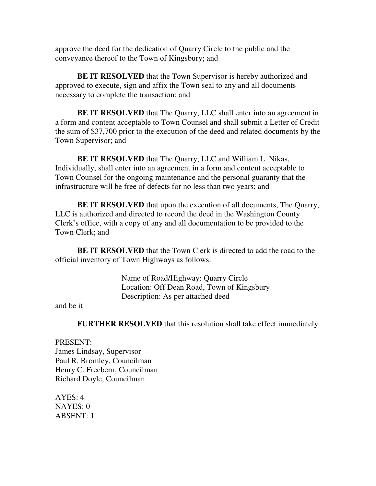approve the deed for the dedication of Quarry Circle to the public and the conveyance thereof to the Town of Kingsbury; and

**BE IT RESOLVED** that the Town Supervisor is hereby authorized and approved to execute, sign and affix the Town seal to any and all documents necessary to complete the transaction; and

**BE IT RESOLVED** that The Quarry, LLC shall enter into an agreement in a form and content acceptable to Town Counsel and shall submit a Letter of Credit the sum of \$37,700 prior to the execution of the deed and related documents by the Town Supervisor; and

**BE IT RESOLVED** that The Quarry, LLC and William L. Nikas, Individually, shall enter into an agreement in a form and content acceptable to Town Counsel for the ongoing maintenance and the personal guaranty that the infrastructure will be free of defects for no less than two years; and

**BE IT RESOLVED** that upon the execution of all documents, The Quarry, LLC is authorized and directed to record the deed in the Washington County Clerk's office, with a copy of any and all documentation to be provided to the Town Clerk; and

**BE IT RESOLVED** that the Town Clerk is directed to add the road to the official inventory of Town Highways as follows:

> Name of Road/Highway: Quarry Circle Location: Off Dean Road, Town of Kingsbury Description: As per attached deed

and be it

**FURTHER RESOLVED** that this resolution shall take effect immediately.

PRESENT: James Lindsay, Supervisor Paul R. Bromley, Councilman Henry C. Freebern, Councilman Richard Doyle, Councilman

 $AYES: 4$ NAYES: 0 ABSENT: 1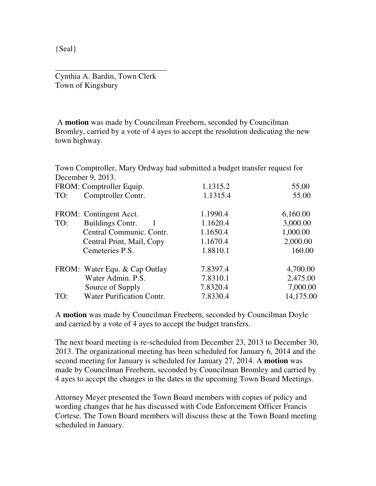{Seal}

Cynthia A. Bardin, Town Clerk Town of Kingsbury

\_\_\_\_\_\_\_\_\_\_\_\_\_\_\_\_\_\_\_\_\_\_\_\_\_\_\_\_

 A **motion** was made by Councilman Freebern, seconded by Councilman Bromley, carried by a vote of 4 ayes to accept the resolution dedicating the new town highway.

Town Comptroller, Mary Ordway had submitted a budget transfer request for December 9, 2013.

|     | FROM: Comptroller Equip.         | 1.1315.2 | 55.00     |
|-----|----------------------------------|----------|-----------|
| TO: | Comptroller Contr.               | 1.1315.4 | 55.00     |
|     | FROM: Contingent Acct.           | 1.1990.4 | 6,160.00  |
| TO: | <b>Buildings Contr.</b>          | 1.1620.4 | 3,000.00  |
|     | Central Communic. Contr.         | 1.1650.4 | 1,000.00  |
|     | Central Print, Mail, Copy        | 1.1670.4 | 2,000.00  |
|     | Cemeteries P.S.                  | 1.8810.1 | 160.00    |
|     | FROM: Water Equ. & Cap Outlay    | 7.8397.4 | 4,700.00  |
|     | Water Admin. P.S.                | 7.8310.1 | 2,475.00  |
|     | Source of Supply                 | 7.8320.4 | 7,000.00  |
| TO: | <b>Water Purification Contr.</b> | 7.8330.4 | 14,175.00 |
|     |                                  |          |           |

A **motion** was made by Councilman Freebern, seconded by Councilman Doyle and carried by a vote of 4 ayes to accept the budget transfers.

The next board meeting is re-scheduled from December 23, 2013 to December 30, 2013. The organizational meeting has been scheduled for January 6, 2014 and the second meeting for January is scheduled for January 27, 2014. A **motion** was made by Councilman Freebern, seconded by Councilman Bromley and carried by 4 ayes to accept the changes in the dates in the upcoming Town Board Meetings.

Attorney Meyer presented the Town Board members with copies of policy and wording changes that he has discussed with Code Enforcement Officer Francis Cortese. The Town Board members will discuss these at the Town Board meeting scheduled in January.